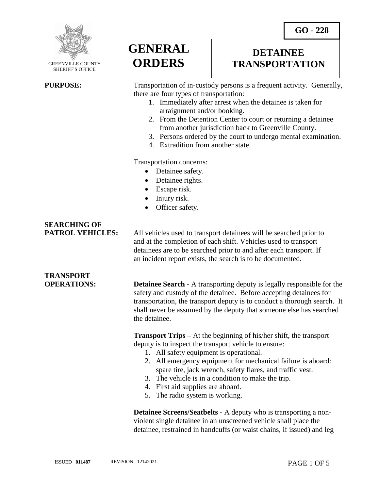**DETAINEE TRANSPORTATION**



 GREENVILLE COUNTY SHERIFF'S OFFICE

 $\overline{a}$ 

**PURPOSE:** Transportation of in-custody persons is a frequent activity. Generally, there are four types of transportation:

- 1. Immediately after arrest when the detainee is taken for arraignment and/or booking.
- 2. From the Detention Center to court or returning a detainee from another jurisdiction back to Greenville County.
- 3. Persons ordered by the court to undergo mental examination.
- 4. Extradition from another state.

Transportation concerns:

**GENERAL**

**ORDERS**

- Detainee safety.
- Detainee rights.
- Escape risk.
- Injury risk.
- Officer safety.

## **SEARCHING OF**

**TRANSPORT** 

**PATROL VEHICLES:** All vehicles used to transport detainees will be searched prior to and at the completion of each shift. Vehicles used to transport detainees are to be searched prior to and after each transport. If an incident report exists, the search is to be documented.

**OPERATIONS: Detainee Search -** A transporting deputy is legally responsible for the safety and custody of the detainee. Before accepting detainees for transportation, the transport deputy is to conduct a thorough search. It shall never be assumed by the deputy that someone else has searched the detainee.

> **Transport Trips –** At the beginning of his/her shift, the transport deputy is to inspect the transport vehicle to ensure:

- 1. All safety equipment is operational.
- 2. All emergency equipment for mechanical failure is aboard: spare tire, jack wrench, safety flares, and traffic vest.
- 3. The vehicle is in a condition to make the trip.
- 4. First aid supplies are aboard.
- 5. The radio system is working.

**Detainee Screens/Seatbelts -** A deputy who is transporting a nonviolent single detainee in an unscreened vehicle shall place the detainee, restrained in handcuffs (or waist chains, if issued) and leg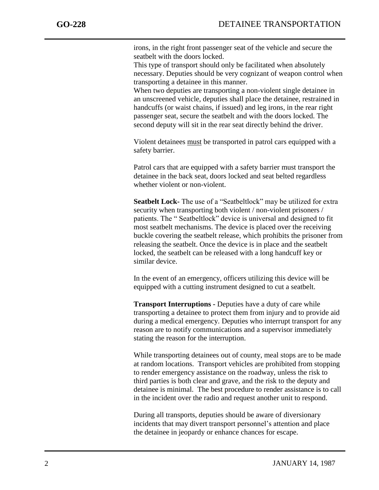irons, in the right front passenger seat of the vehicle and secure the seatbelt with the doors locked.

This type of transport should only be facilitated when absolutely necessary. Deputies should be very cognizant of weapon control when transporting a detainee in this manner.

When two deputies are transporting a non-violent single detainee in an unscreened vehicle, deputies shall place the detainee, restrained in handcuffs (or waist chains, if issued) and leg irons, in the rear right passenger seat, secure the seatbelt and with the doors locked. The second deputy will sit in the rear seat directly behind the driver.

Violent detainees must be transported in patrol cars equipped with a safety barrier.

Patrol cars that are equipped with a safety barrier must transport the detainee in the back seat, doors locked and seat belted regardless whether violent or non-violent.

**Seatbelt Lock-** The use of a "Seatbeltlock" may be utilized for extra security when transporting both violent / non-violent prisoners / patients. The " Seatbeltlock" device is universal and designed to fit most seatbelt mechanisms. The device is placed over the receiving buckle covering the seatbelt release, which prohibits the prisoner from releasing the seatbelt. Once the device is in place and the seatbelt locked, the seatbelt can be released with a long handcuff key or similar device.

In the event of an emergency, officers utilizing this device will be equipped with a cutting instrument designed to cut a seatbelt.

**Transport Interruptions -** Deputies have a duty of care while transporting a detainee to protect them from injury and to provide aid during a medical emergency. Deputies who interrupt transport for any reason are to notify communications and a supervisor immediately stating the reason for the interruption.

While transporting detainees out of county, meal stops are to be made at random locations. Transport vehicles are prohibited from stopping to render emergency assistance on the roadway, unless the risk to third parties is both clear and grave, and the risk to the deputy and detainee is minimal. The best procedure to render assistance is to call in the incident over the radio and request another unit to respond.

During all transports, deputies should be aware of diversionary incidents that may divert transport personnel's attention and place the [detainee](javascript:standardsMaster.SelectTreeNode(5243720);) in jeopardy or enhance chances for escape.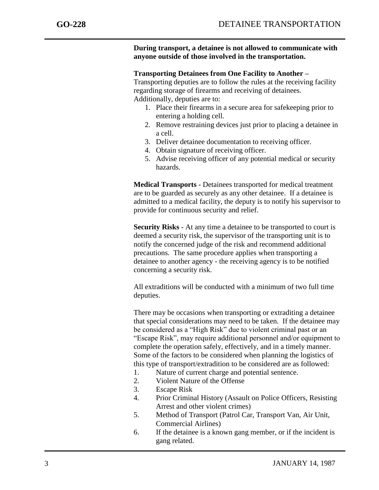**During transport, a detainee is not allowed to communicate with anyone outside of those involved in the transportation.**

## **Transporting Detainees from One Facility to Another –**

Transporting deputies are to follow the rules at the receiving facility regarding storage of firearms and receiving of detainees. Additionally, deputies are to:

- 1. Place their firearms in a secure area for safekeeping prior to entering a holding cell.
- 2. Remove restraining devices just prior to placing a detainee in a cell.
- 3. Deliver detainee documentation to receiving officer.
- 4. Obtain signature of receiving officer.
- 5. Advise receiving officer of any potential medical or security hazards.

**Medical Transports** - Detainees transported for medical treatment are to be guarded as securely as any other detainee. If a detainee is admitted to a medical facility, the deputy is to notify his supervisor to provide for continuous security and relief.

**Security Risks** - At any time a detainee to be transported to court is deemed a security risk, the supervisor of the transporting unit is to notify the concerned judge of the risk and recommend additional precautions. The same procedure applies when transporting a detainee to another agency - the receiving agency is to be notified concerning a security risk.

All extraditions will be conducted with a minimum of two full time deputies.

There may be occasions when transporting or extraditing a detainee that special considerations may need to be taken. If the detainee may be considered as a "High Risk" due to violent criminal past or an "Escape Risk", may require additional personnel and/or equipment to complete the operation safely, effectively, and in a timely manner. Some of the factors to be considered when planning the logistics of this type of transport/extradition to be considered are as followed:

- 1. Nature of current charge and potential sentence.
- 2. Violent Nature of the Offense
- 3. Escape Risk
- 4. Prior Criminal History (Assault on Police Officers, Resisting Arrest and other violent crimes)
- 5. Method of Transport (Patrol Car, Transport Van, Air Unit, Commercial Airlines)
- 6. If the detainee is a known gang member, or if the incident is gang related.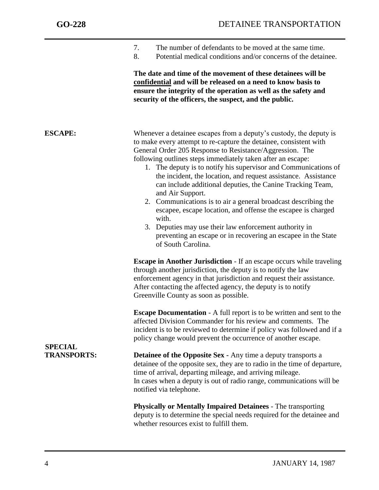| The number of defendants to be moved at the same time. |
|--------------------------------------------------------|
|                                                        |

8. Potential medical conditions and/or concerns of the detainee.

**The date and time of the movement of these detainees will be confidential and will be released on a need to know basis to ensure the integrity of the operation as well as the safety and security of the officers, the suspect, and the public.**

| <b>ESCAPE:</b>                       | Whenever a detainee escapes from a deputy's custody, the deputy is<br>to make every attempt to re-capture the detainee, consistent with<br>General Order 205 Response to Resistance/Aggression. The<br>following outlines steps immediately taken after an escape:<br>1. The deputy is to notify his supervisor and Communications of<br>the incident, the location, and request assistance. Assistance<br>can include additional deputies, the Canine Tracking Team,<br>and Air Support.<br>2. Communications is to air a general broadcast describing the<br>escapee, escape location, and offense the escapee is charged<br>with.<br>3. Deputies may use their law enforcement authority in<br>preventing an escape or in recovering an escapee in the State<br>of South Carolina. |
|--------------------------------------|---------------------------------------------------------------------------------------------------------------------------------------------------------------------------------------------------------------------------------------------------------------------------------------------------------------------------------------------------------------------------------------------------------------------------------------------------------------------------------------------------------------------------------------------------------------------------------------------------------------------------------------------------------------------------------------------------------------------------------------------------------------------------------------|
|                                      | <b>Escape in Another Jurisdiction - If an escape occurs while traveling</b><br>through another jurisdiction, the deputy is to notify the law<br>enforcement agency in that jurisdiction and request their assistance.<br>After contacting the affected agency, the deputy is to notify<br>Greenville County as soon as possible.                                                                                                                                                                                                                                                                                                                                                                                                                                                      |
|                                      | <b>Escape Documentation</b> - A full report is to be written and sent to the<br>affected Division Commander for his review and comments. The<br>incident is to be reviewed to determine if policy was followed and if a<br>policy change would prevent the occurrence of another escape.                                                                                                                                                                                                                                                                                                                                                                                                                                                                                              |
| <b>SPECIAL</b><br><b>TRANSPORTS:</b> | <b>Detainee of the Opposite Sex - Any time a deputy transports a</b><br>detainee of the opposite sex, they are to radio in the time of departure,<br>time of arrival, departing mileage, and arriving mileage.<br>In cases when a deputy is out of radio range, communications will be<br>notified via telephone.                                                                                                                                                                                                                                                                                                                                                                                                                                                                     |
|                                      | <b>Physically or Mentally Impaired Detainees - The transporting</b><br>deputy is to determine the special needs required for the detainee and                                                                                                                                                                                                                                                                                                                                                                                                                                                                                                                                                                                                                                         |

whether resources exist to fulfill them.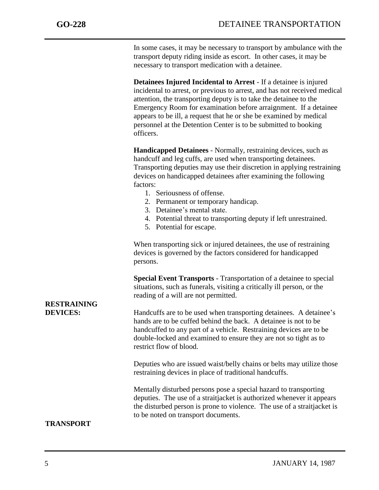In some cases, it may be necessary to transport by ambulance with the transport deputy riding inside as escort. In other cases, it may be necessary to transport medication with a detainee.

**Detainees Injured Incidental to Arrest** - If a detainee is injured incidental to arrest, or previous to arrest, and has not received medical attention, the transporting deputy is to take the detainee to the Emergency Room for examination before arraignment. If a detainee appears to be ill, a request that he or she be examined by medical personnel at the Detention Center is to be submitted to booking officers.

**Handicapped Detainees** - Normally, restraining devices, such as handcuff and leg cuffs, are used when transporting detainees. Transporting deputies may use their discretion in applying restraining devices on handicapped detainees after examining the following factors:

- 1. Seriousness of offense.
- 2. Permanent or temporary handicap.
- 3. Detainee's mental state.
- 4. Potential threat to transporting deputy if left unrestrained.
- 5. Potential for escape.

When transporting sick or injured detainees, the use of restraining devices is governed by the factors considered for handicapped persons.

**Special Event Transports** - Transportation of a detainee to special situations, such as funerals, visiting a critically ill person, or the reading of a will are not permitted.

**DEVICES:** Handcuffs are to be used when transporting detainees. A detainee's hands are to be cuffed behind the back. A detainee is not to be handcuffed to any part of a vehicle. Restraining devices are to be double-locked and examined to ensure they are not so tight as to restrict flow of blood.

> Deputies who are issued waist/belly chains or belts may utilize those restraining devices in place of traditional handcuffs.

> Mentally disturbed persons pose a special hazard to transporting deputies. The use of a straitjacket is authorized whenever it appears the disturbed person is prone to violence. The use of a straitjacket is to be noted on transport documents.

## **TRANSPORT**

**RESTRAINING**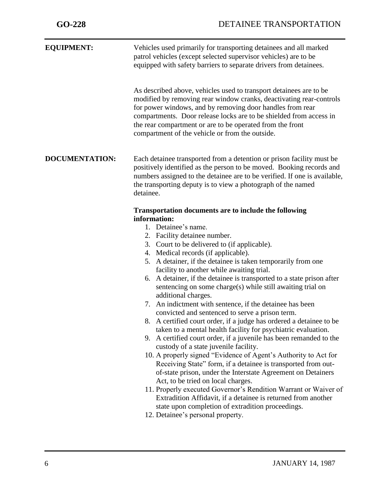| Vehicles used primarily for transporting detainees and all marked                                                                                                                                                                                                                                                                                                                                                                                                                                                                                                                                                                                                                                                                                                                                                                                                                                                                                                                                                                                                                                                                                                                                                                                                                                                                                   |
|-----------------------------------------------------------------------------------------------------------------------------------------------------------------------------------------------------------------------------------------------------------------------------------------------------------------------------------------------------------------------------------------------------------------------------------------------------------------------------------------------------------------------------------------------------------------------------------------------------------------------------------------------------------------------------------------------------------------------------------------------------------------------------------------------------------------------------------------------------------------------------------------------------------------------------------------------------------------------------------------------------------------------------------------------------------------------------------------------------------------------------------------------------------------------------------------------------------------------------------------------------------------------------------------------------------------------------------------------------|
| patrol vehicles (except selected supervisor vehicles) are to be<br>equipped with safety barriers to separate drivers from detainees.                                                                                                                                                                                                                                                                                                                                                                                                                                                                                                                                                                                                                                                                                                                                                                                                                                                                                                                                                                                                                                                                                                                                                                                                                |
| As described above, vehicles used to transport detainees are to be<br>modified by removing rear window cranks, deactivating rear-controls<br>for power windows, and by removing door handles from rear<br>compartments. Door release locks are to be shielded from access in<br>the rear compartment or are to be operated from the front<br>compartment of the vehicle or from the outside.                                                                                                                                                                                                                                                                                                                                                                                                                                                                                                                                                                                                                                                                                                                                                                                                                                                                                                                                                        |
| Each detainee transported from a detention or prison facility must be<br>positively identified as the person to be moved. Booking records and<br>numbers assigned to the detainee are to be verified. If one is available,<br>the transporting deputy is to view a photograph of the named<br>detainee.                                                                                                                                                                                                                                                                                                                                                                                                                                                                                                                                                                                                                                                                                                                                                                                                                                                                                                                                                                                                                                             |
| <b>Transportation documents are to include the following</b><br>information:<br>1. Detainee's name.<br>2. Facility detainee number.<br>3. Court to be delivered to (if applicable).<br>4. Medical records (if applicable).<br>5. A detainer, if the detainee is taken temporarily from one<br>facility to another while awaiting trial.<br>6. A detainer, if the detainee is transported to a state prison after<br>sentencing on some charge(s) while still awaiting trial on<br>additional charges.<br>7. An indictment with sentence, if the detainee has been<br>convicted and sentenced to serve a prison term.<br>8. A certified court order, if a judge has ordered a detainee to be<br>taken to a mental health facility for psychiatric evaluation.<br>9. A certified court order, if a juvenile has been remanded to the<br>custody of a state juvenile facility.<br>10. A properly signed "Evidence of Agent's Authority to Act for<br>Receiving State" form, if a detainee is transported from out-<br>of-state prison, under the Interstate Agreement on Detainers<br>Act, to be tried on local charges.<br>11. Properly executed Governor's Rendition Warrant or Waiver of<br>Extradition Affidavit, if a detainee is returned from another<br>state upon completion of extradition proceedings.<br>12. Detainee's personal property. |
|                                                                                                                                                                                                                                                                                                                                                                                                                                                                                                                                                                                                                                                                                                                                                                                                                                                                                                                                                                                                                                                                                                                                                                                                                                                                                                                                                     |